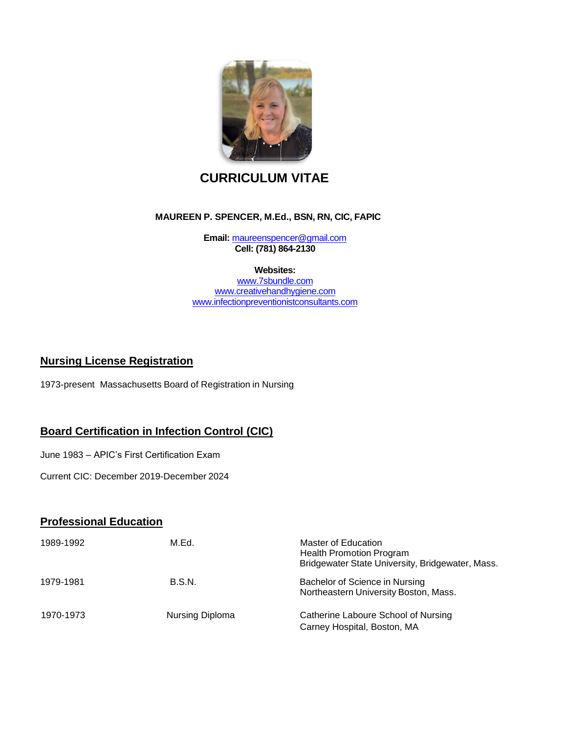

# **CURRICULUM VITAE**

#### **MAUREEN P. SPENCER, M.Ed., BSN, RN, CIC, FAPIC**

**Email:** maureenspencer@gmail.com **Cell: (781) 864-2130**

#### **Websites:**

[www.7sbundle.com](http://www.7sbundle.com/) [www.creativehandhygiene.com](http://www.creativehandhygiene.com/) www.infectionpreventionistconsultants.com

### **Nursing License Registration**

1973-present Massachusetts Board of Registration in Nursing

# **Board Certification in Infection Control (CIC)**

June 1983 – APIC's First Certification Exam

Current CIC: December 2019-December 2024

# **Professional Education**

| 1989-1992 | M.Ed.           | Master of Education<br><b>Health Promotion Program</b><br>Bridgewater State University, Bridgewater, Mass. |
|-----------|-----------------|------------------------------------------------------------------------------------------------------------|
| 1979-1981 | B.S.N.          | Bachelor of Science in Nursing<br>Northeastern University Boston, Mass.                                    |
| 1970-1973 | Nursing Diploma | Catherine Laboure School of Nursing<br>Carney Hospital, Boston, MA                                         |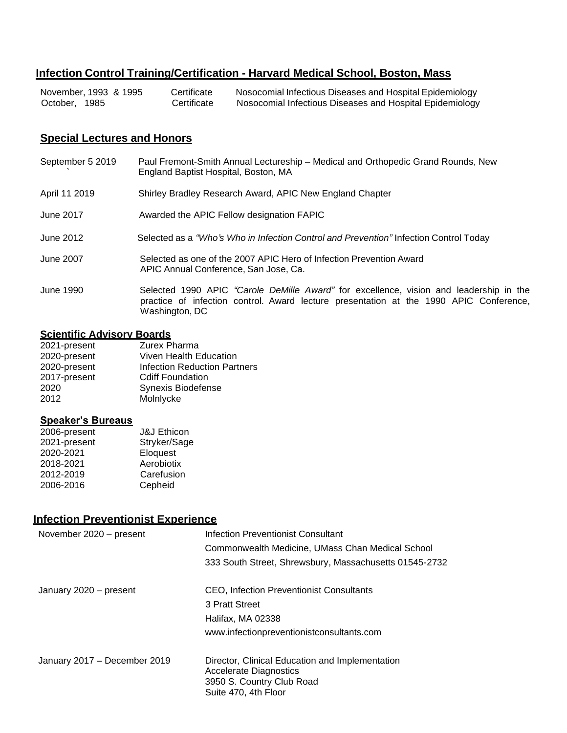# **Infection Control Training/Certification - Harvard Medical School, Boston, Mass**

| November, 1993 & 1995 | Certificate | Nosocomial Infectious Diseases and Hospital Epidemiology |
|-----------------------|-------------|----------------------------------------------------------|
| October, 1985         | Certificate | Nosocomial Infectious Diseases and Hospital Epidemiology |

# **Special Lectures and Honors**

| September 5 2019 | Paul Fremont-Smith Annual Lectureship - Medical and Orthopedic Grand Rounds, New<br>England Baptist Hospital, Boston, MA                                                                           |
|------------------|----------------------------------------------------------------------------------------------------------------------------------------------------------------------------------------------------|
| April 11 2019    | Shirley Bradley Research Award, APIC New England Chapter                                                                                                                                           |
| June 2017        | Awarded the APIC Fellow designation FAPIC                                                                                                                                                          |
| June 2012        | Selected as a "Who's Who in Infection Control and Prevention" Infection Control Today                                                                                                              |
| June 2007        | Selected as one of the 2007 APIC Hero of Infection Prevention Award<br>APIC Annual Conference, San Jose, Ca.                                                                                       |
| June 1990        | Selected 1990 APIC "Carole DeMille Award" for excellence, vision and leadership in the<br>practice of infection control. Award lecture presentation at the 1990 APIC Conference,<br>Washington, DC |

# **Scientific Advisory Boards**

| 2021-present | Zurex Pharma                 |
|--------------|------------------------------|
| 2020-present | Viven Health Education       |
| 2020-present | Infection Reduction Partners |
| 2017-present | <b>Cdiff Foundation</b>      |
| 2020         | Synexis Biodefense           |
| 2012         | Molnlycke                    |
|              |                              |

### **Speaker's Bureaus**

| 2006-present | <b>J&amp;J Ethicon</b> |
|--------------|------------------------|
| 2021-present | Stryker/Sage           |
| 2020-2021    | Eloquest               |
| 2018-2021    | Aerobiotix             |
| 2012-2019    | Carefusion             |
| 2006-2016    | Cepheid                |

# **Infection Preventionist Experience**

| November 2020 - present      | Infection Preventionist Consultant                                                                                             |
|------------------------------|--------------------------------------------------------------------------------------------------------------------------------|
|                              | Commonwealth Medicine, UMass Chan Medical School                                                                               |
|                              | 333 South Street, Shrewsbury, Massachusetts 01545-2732                                                                         |
| January 2020 – present       | CEO, Infection Preventionist Consultants                                                                                       |
|                              | 3 Pratt Street                                                                                                                 |
|                              | Halifax, MA 02338                                                                                                              |
|                              | www.infectionpreventionistconsultants.com                                                                                      |
| January 2017 - December 2019 | Director, Clinical Education and Implementation<br>Accelerate Diagnostics<br>3950 S. Country Club Road<br>Suite 470, 4th Floor |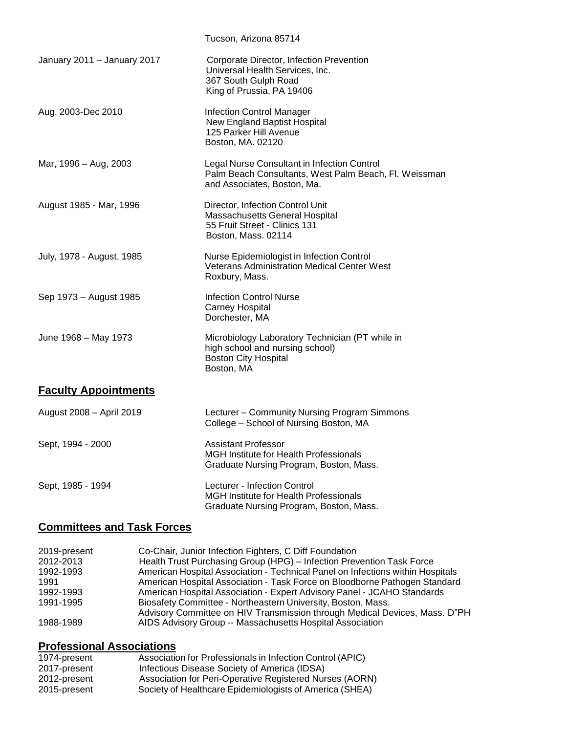|                             | Tucson, Arizona 85714                                                                                                               |
|-----------------------------|-------------------------------------------------------------------------------------------------------------------------------------|
| January 2011 - January 2017 | Corporate Director, Infection Prevention<br>Universal Health Services, Inc.<br>367 South Gulph Road<br>King of Prussia, PA 19406    |
| Aug, 2003-Dec 2010          | <b>Infection Control Manager</b><br>New England Baptist Hospital<br>125 Parker Hill Avenue<br>Boston, MA. 02120                     |
| Mar, 1996 - Aug, 2003       | Legal Nurse Consultant in Infection Control<br>Palm Beach Consultants, West Palm Beach, Fl. Weissman<br>and Associates, Boston, Ma. |
| August 1985 - Mar, 1996     | Director, Infection Control Unit<br>Massachusetts General Hospital<br>55 Fruit Street - Clinics 131<br>Boston, Mass. 02114          |
| July, 1978 - August, 1985   | Nurse Epidemiologist in Infection Control<br><b>Veterans Administration Medical Center West</b><br>Roxbury, Mass.                   |
| Sep 1973 - August 1985      | <b>Infection Control Nurse</b><br><b>Carney Hospital</b><br>Dorchester, MA                                                          |
| June 1968 - May 1973        | Microbiology Laboratory Technician (PT while in<br>high school and nursing school)<br><b>Boston City Hospital</b><br>Boston, MA     |
| <b>Faculty Appointments</b> |                                                                                                                                     |
| August 2008 - April 2019    | Lecturer - Community Nursing Program Simmons<br>College - School of Nursing Boston, MA                                              |
| Sept, 1994 - 2000           | Assistant Professor<br>MGH Institute for Health Professionals<br>Graduate Nursing Program, Boston, Mass.                            |
| Sept, 1985 - 1994           | Lecturer - Infection Control<br>MGH Institute for Health Professionals<br>Graduate Nursing Program, Boston, Mass.                   |

# **Committees and Task Forces**

| 2019-present | Co-Chair, Junior Infection Fighters, C Diff Foundation                         |
|--------------|--------------------------------------------------------------------------------|
| 2012-2013    | Health Trust Purchasing Group (HPG) - Infection Prevention Task Force          |
| 1992-1993    | American Hospital Association - Technical Panel on Infections within Hospitals |
| 1991         | American Hospital Association - Task Force on Bloodborne Pathogen Standard     |
| 1992-1993    | American Hospital Association - Expert Advisory Panel - JCAHO Standards        |
| 1991-1995    | Biosafety Committee - Northeastern University, Boston, Mass.                   |
|              | Advisory Committee on HIV Transmission through Medical Devices, Mass. D"PH     |
| 1988-1989    | AIDS Advisory Group -- Massachusetts Hospital Association                      |

# **Professional Associations**

| 1974-present | Association for Professionals in Infection Control (APIC) |
|--------------|-----------------------------------------------------------|
| 2017-present | Infectious Disease Society of America (IDSA)              |
| 2012-present | Association for Peri-Operative Registered Nurses (AORN)   |
| 2015-present | Society of Healthcare Epidemiologists of America (SHEA)   |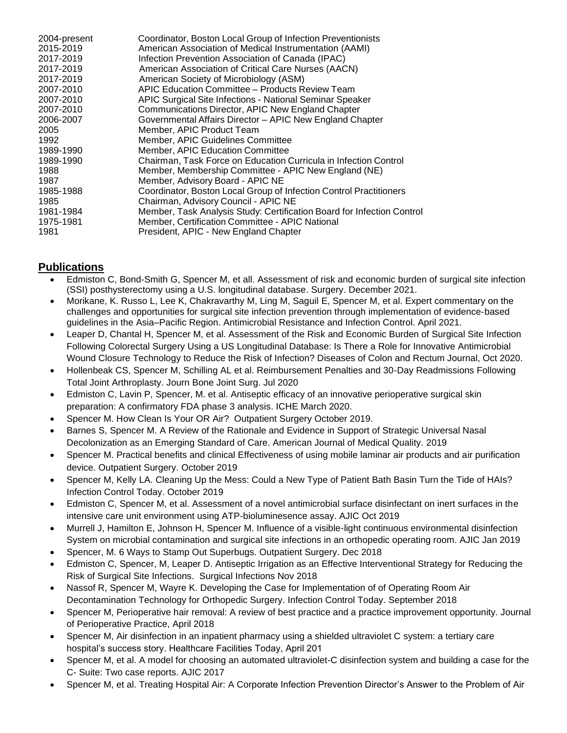| American Association of Medical Instrumentation (AAMI)<br>2015-2019<br>2017-2019<br>Infection Prevention Association of Canada (IPAC)<br>2017-2019<br>American Association of Critical Care Nurses (AACN)<br>2017-2019<br>American Society of Microbiology (ASM)<br>APIC Education Committee - Products Review Team<br>2007-2010<br>2007-2010<br>APIC Surgical Site Infections - National Seminar Speaker<br>2007-2010<br>Communications Director, APIC New England Chapter<br>Governmental Affairs Director - APIC New England Chapter<br>2006-2007<br>2005<br>Member, APIC Product Team<br>1992<br>Member, APIC Guidelines Committee<br>1989-1990<br><b>Member, APIC Education Committee</b><br>Chairman, Task Force on Education Curricula in Infection Control<br>1989-1990<br>1988<br>Member, Membership Committee - APIC New England (NE)<br>Member, Advisory Board - APIC NE<br>1987<br>Coordinator, Boston Local Group of Infection Control Practitioners<br>1985-1988<br>Chairman, Advisory Council - APIC NE<br>1985<br>1981-1984<br>Member, Certification Committee - APIC National<br>1975-1981<br>1981<br>President, APIC - New England Chapter | 2004-present | Coordinator, Boston Local Group of Infection Preventionists            |
|--------------------------------------------------------------------------------------------------------------------------------------------------------------------------------------------------------------------------------------------------------------------------------------------------------------------------------------------------------------------------------------------------------------------------------------------------------------------------------------------------------------------------------------------------------------------------------------------------------------------------------------------------------------------------------------------------------------------------------------------------------------------------------------------------------------------------------------------------------------------------------------------------------------------------------------------------------------------------------------------------------------------------------------------------------------------------------------------------------------------------------------------------------------|--------------|------------------------------------------------------------------------|
|                                                                                                                                                                                                                                                                                                                                                                                                                                                                                                                                                                                                                                                                                                                                                                                                                                                                                                                                                                                                                                                                                                                                                              |              |                                                                        |
|                                                                                                                                                                                                                                                                                                                                                                                                                                                                                                                                                                                                                                                                                                                                                                                                                                                                                                                                                                                                                                                                                                                                                              |              |                                                                        |
|                                                                                                                                                                                                                                                                                                                                                                                                                                                                                                                                                                                                                                                                                                                                                                                                                                                                                                                                                                                                                                                                                                                                                              |              |                                                                        |
|                                                                                                                                                                                                                                                                                                                                                                                                                                                                                                                                                                                                                                                                                                                                                                                                                                                                                                                                                                                                                                                                                                                                                              |              |                                                                        |
|                                                                                                                                                                                                                                                                                                                                                                                                                                                                                                                                                                                                                                                                                                                                                                                                                                                                                                                                                                                                                                                                                                                                                              |              |                                                                        |
|                                                                                                                                                                                                                                                                                                                                                                                                                                                                                                                                                                                                                                                                                                                                                                                                                                                                                                                                                                                                                                                                                                                                                              |              |                                                                        |
|                                                                                                                                                                                                                                                                                                                                                                                                                                                                                                                                                                                                                                                                                                                                                                                                                                                                                                                                                                                                                                                                                                                                                              |              |                                                                        |
|                                                                                                                                                                                                                                                                                                                                                                                                                                                                                                                                                                                                                                                                                                                                                                                                                                                                                                                                                                                                                                                                                                                                                              |              |                                                                        |
|                                                                                                                                                                                                                                                                                                                                                                                                                                                                                                                                                                                                                                                                                                                                                                                                                                                                                                                                                                                                                                                                                                                                                              |              |                                                                        |
|                                                                                                                                                                                                                                                                                                                                                                                                                                                                                                                                                                                                                                                                                                                                                                                                                                                                                                                                                                                                                                                                                                                                                              |              |                                                                        |
|                                                                                                                                                                                                                                                                                                                                                                                                                                                                                                                                                                                                                                                                                                                                                                                                                                                                                                                                                                                                                                                                                                                                                              |              |                                                                        |
|                                                                                                                                                                                                                                                                                                                                                                                                                                                                                                                                                                                                                                                                                                                                                                                                                                                                                                                                                                                                                                                                                                                                                              |              |                                                                        |
|                                                                                                                                                                                                                                                                                                                                                                                                                                                                                                                                                                                                                                                                                                                                                                                                                                                                                                                                                                                                                                                                                                                                                              |              |                                                                        |
|                                                                                                                                                                                                                                                                                                                                                                                                                                                                                                                                                                                                                                                                                                                                                                                                                                                                                                                                                                                                                                                                                                                                                              |              |                                                                        |
|                                                                                                                                                                                                                                                                                                                                                                                                                                                                                                                                                                                                                                                                                                                                                                                                                                                                                                                                                                                                                                                                                                                                                              |              |                                                                        |
|                                                                                                                                                                                                                                                                                                                                                                                                                                                                                                                                                                                                                                                                                                                                                                                                                                                                                                                                                                                                                                                                                                                                                              |              |                                                                        |
|                                                                                                                                                                                                                                                                                                                                                                                                                                                                                                                                                                                                                                                                                                                                                                                                                                                                                                                                                                                                                                                                                                                                                              |              | Member, Task Analysis Study: Certification Board for Infection Control |
|                                                                                                                                                                                                                                                                                                                                                                                                                                                                                                                                                                                                                                                                                                                                                                                                                                                                                                                                                                                                                                                                                                                                                              |              |                                                                        |
|                                                                                                                                                                                                                                                                                                                                                                                                                                                                                                                                                                                                                                                                                                                                                                                                                                                                                                                                                                                                                                                                                                                                                              |              |                                                                        |

# **Publications**

- Edmiston C, Bond-Smith G, Spencer M, et all. Assessment of risk and economic burden of surgical site infection (SSI) posthysterectomy using a U.S. longitudinal database. Surgery. December 2021.
- Morikane, K. Russo L, Lee K, Chakravarthy M, Ling M, Saguil E, Spencer M, et al. Expert commentary on the challenges and opportunities for surgical site infection prevention through implementation of evidence‑based guidelines in the Asia–Pacific Region. Antimicrobial Resistance and Infection Control. April 2021.
- Leaper D, Chantal H, Spencer M, et al. Assessment of the Risk and Economic Burden of Surgical Site Infection Following Colorectal Surgery Using a US Longitudinal Database: Is There a Role for Innovative Antimicrobial Wound Closure Technology to Reduce the Risk of Infection? Diseases of Colon and Rectum Journal, Oct 2020.
- Hollenbeak CS, Spencer M, Schilling AL et al. Reimbursement Penalties and 30-Day Readmissions Following Total Joint Arthroplasty. Journ Bone Joint Surg. Jul 2020
- Edmiston C, Lavin P, Spencer, M. et al. Antiseptic efficacy of an innovative perioperative surgical skin preparation: A confirmatory FDA phase 3 analysis. ICHE March 2020.
- Spencer M. How Clean Is Your OR Air? Outpatient Surgery October 2019.
- Barnes S, Spencer M. A Review of the Rationale and Evidence in Support of Strategic Universal Nasal Decolonization as an Emerging Standard of Care. American Journal of Medical Quality. 2019
- Spencer M. Practical benefits and clinical Effectiveness of using mobile laminar air products and air purification device. Outpatient Surgery. October 2019
- Spencer M, Kelly LA. Cleaning Up the Mess: Could a New Type of Patient Bath Basin Turn the Tide of HAIs? Infection Control Today. October 2019
- Edmiston C, Spencer M, et al. Assessment of a novel antimicrobial surface disinfectant on inert surfaces in the intensive care unit environment using ATP-bioluminesence assay. AJIC Oct 2019
- Murrell J, Hamilton E, Johnson H, Spencer M. Influence of a visible-light continuous environmental disinfection System on microbial contamination and surgical site infections in an orthopedic operating room. AJIC Jan 2019
- Spencer, M. 6 Ways to Stamp Out Superbugs. Outpatient Surgery. Dec 2018
- Edmiston C, Spencer, M, Leaper D. Antiseptic Irrigation as an Effective Interventional Strategy for Reducing the Risk of Surgical Site Infections. Surgical Infections Nov 2018
- Nassof R, Spencer M, Wayre K. Developing the Case for Implementation of of Operating Room Air Decontamination Technology for Orthopedic Surgery. Infection Control Today. September 2018
- Spencer M, Perioperative hair removal: A review of best practice and a practice improvement opportunity. Journal of Perioperative Practice, April 2018
- Spencer M, Air disinfection in an inpatient pharmacy using a shielded ultraviolet C system: a tertiary care hospital's success story. Healthcare Facilities Today, April 201
- Spencer M, et al. A model for choosing an automated ultraviolet-C disinfection system and building a case for the C- Suite: Two case reports. AJIC 2017
- Spencer M, et al. Treating Hospital Air: A Corporate Infection Prevention Director's Answer to the Problem of Air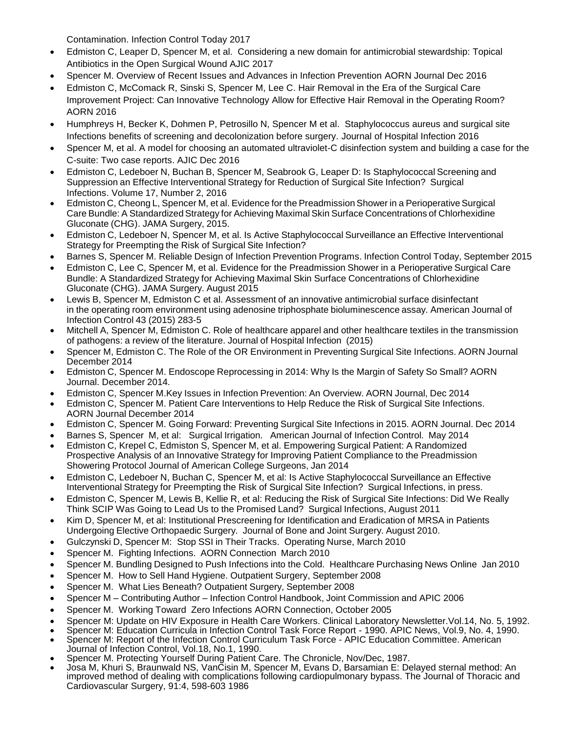Contamination. Infection Control Today 2017

- Edmiston C, Leaper D, Spencer M, et al. Considering a new domain for antimicrobial stewardship: Topical Antibiotics in the Open Surgical Wound AJIC 2017
- Spencer M. Overview of Recent Issues and Advances in Infection Prevention AORN Journal Dec 2016
- Edmiston C, McComack R, Sinski S, Spencer M, Lee C. Hair Removal in the Era of the Surgical Care Improvement Project: Can Innovative Technology Allow for Effective Hair Removal in the Operating Room? AORN 2016
- Humphreys H, Becker K, Dohmen P, Petrosillo N, Spencer M et al. Staphylococcus aureus and surgical site Infections benefits of screening and decolonization before surgery. Journal of Hospital Infection 2016
- Spencer M, et al. A model for choosing an automated ultraviolet-C disinfection system and building a case for the C-suite: Two case reports. AJIC Dec 2016
- Edmiston C, Ledeboer N, Buchan B, Spencer M, Seabrook G, Leaper D: Is Staphylococcal Screening and Suppression an Effective Interventional Strategy for Reduction of Surgical Site Infection? Surgical Infections. Volume 17, Number 2, 2016
- Edmiston C, Cheong L, Spencer M, et al. Evidence for the Preadmission Shower in a Perioperative Surgical Care Bundle: A Standardized Strategy for Achieving Maximal Skin Surface Concentrations of Chlorhexidine Gluconate (CHG). JAMA Surgery, 2015.
- Edmiston C, Ledeboer N, Spencer M, et al. Is Active Staphylococcal Surveillance an Effective Interventional Strategy for Preempting the Risk of Surgical Site Infection?
- Barnes S, Spencer M. Reliable Design of Infection Prevention Programs. Infection Control Today, September 2015
- Edmiston C, Lee C, Spencer M, et al. Evidence for the Preadmission Shower in a Perioperative Surgical Care Bundle: A Standardized Strategy for Achieving Maximal Skin Surface Concentrations of Chlorhexidine Gluconate (CHG). JAMA Surgery. August 2015
- Lewis B, Spencer M, Edmiston C et al. Assessment of an innovative antimicrobial surface disinfectant in the operating room environment using adenosine triphosphate bioluminescence assay. American Journal of Infection Control 43 (2015) 283-5
- Mitchell A, Spencer M, Edmiston C. Role of healthcare apparel and other healthcare textiles in the transmission of pathogens: a review of the literature. Journal of Hospital Infection (2015)
- Spencer M, Edmiston C. The Role of the OR Environment in Preventing Surgical Site Infections. AORN Journal December 2014
- Edmiston C, Spencer M. Endoscope Reprocessing in 2014: Why Is the Margin of Safety So Small? AORN Journal. December 2014.
- Edmiston C, Spencer M.Key Issues in Infection Prevention: An Overview. AORN Journal, Dec 2014
- Edmiston C, Spencer M. Patient Care Interventions to Help Reduce the Risk of Surgical Site Infections. AORN Journal December 2014
- Edmiston C, Spencer M. Going Forward: Preventing Surgical Site Infections in 2015. AORN Journal. Dec 2014
- Barnes S, Spencer M, et al: Surgical Irrigation. American Journal of Infection Control. May 2014
- Edmiston C, Krepel C, Edmiston S, Spencer M, et al. Empowering Surgical Patient: A Randomized Prospective Analysis of an Innovative Strategy for Improving Patient Compliance to the Preadmission Showering Protocol Journal of American College Surgeons, Jan 2014
- Edmiston C, Ledeboer N, Buchan C, Spencer M, et al: Is Active Staphylococcal Surveillance an Effective Interventional Strategy for Preempting the Risk of Surgical Site Infection? Surgical Infections, in press.
- Edmiston C, Spencer M, Lewis B, Kellie R, et al: Reducing the Risk of Surgical Site Infections: Did We Really Think SCIP Was Going to Lead Us to the Promised Land? Surgical Infections, August 2011
- Kim D, Spencer M, et al: Institutional Prescreening for Identification and Eradication of MRSA in Patients Undergoing Elective Orthopaedic Surgery. Journal of Bone and Joint Surgery. August 2010.
- Gulczynski D, Spencer M: Stop SSI in Their Tracks. Operating Nurse, March 2010
- Spencer M. Fighting Infections. AORN Connection March 2010
- Spencer M. Bundling Designed to Push Infections into the Cold. Healthcare Purchasing News Online Jan 2010
- Spencer M. How to Sell Hand Hygiene. Outpatient Surgery, September 2008
- Spencer M. What Lies Beneath? Outpatient Surgery, September 2008
- Spencer M Contributing Author Infection Control Handbook, Joint Commission and APIC 2006
- Spencer M. Working Toward Zero Infections AORN Connection, October 2005
- Spencer M: Update on HIV Exposure in Health Care Workers. Clinical Laboratory Newsletter.Vol.14, No. 5, 1992.
- Spencer M: Education Curricula in Infection Control Task Force Report 1990. APIC News, Vol.9, No. 4, 1990.
- Spencer M: Report of the Infection Control Curriculum Task Force APIC Education Committee. American Journal of Infection Control, Vol.18, No.1, 1990.
- Spencer M. Protecting Yourself During Patient Care. The Chronicle, Nov/Dec, 1987.
- Josa M, Khuri S, Braunwald NS, VanCisin M, Spencer M, Evans D, Barsamian E: Delayed sternal method: An improved method of dealing with complications following cardiopulmonary bypass. The Journal of Thoracic and Cardiovascular Surgery, 91:4, 598-603 1986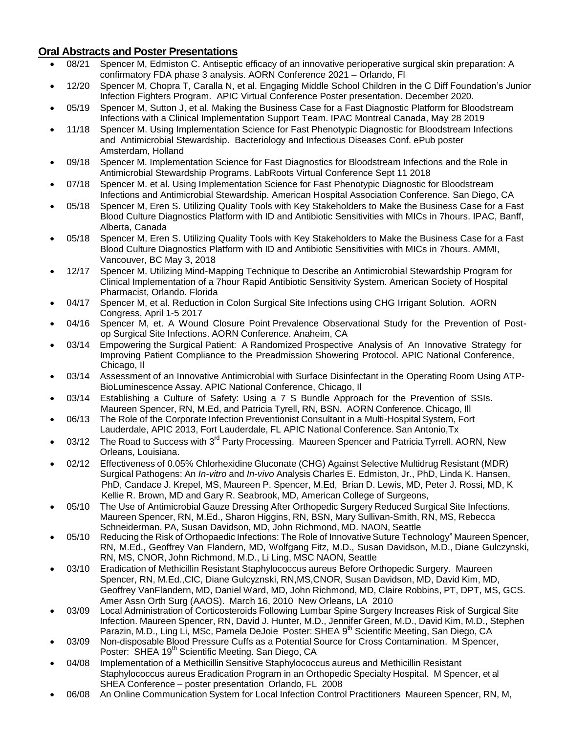### **Oral Abstracts and Poster Presentations**

|           |       | <b>Oral Abstracts and Poster Presentations</b>                                                                                                                                                                                                                                                                                                                                             |
|-----------|-------|--------------------------------------------------------------------------------------------------------------------------------------------------------------------------------------------------------------------------------------------------------------------------------------------------------------------------------------------------------------------------------------------|
| $\bullet$ | 08/21 | Spencer M, Edmiston C. Antiseptic efficacy of an innovative perioperative surgical skin preparation: A                                                                                                                                                                                                                                                                                     |
|           |       | confirmatory FDA phase 3 analysis. AORN Conference 2021 - Orlando, FI                                                                                                                                                                                                                                                                                                                      |
| $\bullet$ | 12/20 | Spencer M, Chopra T, Caralla N, et al. Engaging Middle School Children in the C Diff Foundation's Junior<br>Infection Fighters Program. APIC Virtual Conference Poster presentation. December 2020.                                                                                                                                                                                        |
| $\bullet$ | 05/19 | Spencer M, Sutton J, et al. Making the Business Case for a Fast Diagnostic Platform for Bloodstream<br>Infections with a Clinical Implementation Support Team. IPAC Montreal Canada, May 28 2019                                                                                                                                                                                           |
| $\bullet$ | 11/18 | Spencer M. Using Implementation Science for Fast Phenotypic Diagnostic for Bloodstream Infections<br>and Antimicrobial Stewardship. Bacteriology and Infectious Diseases Conf. ePub poster<br>Amsterdam, Holland                                                                                                                                                                           |
| $\bullet$ | 09/18 | Spencer M. Implementation Science for Fast Diagnostics for Bloodstream Infections and the Role in<br>Antimicrobial Stewardship Programs. LabRoots Virtual Conference Sept 11 2018                                                                                                                                                                                                          |
|           | 07/18 | Spencer M. et al. Using Implementation Science for Fast Phenotypic Diagnostic for Bloodstream<br>Infections and Antimicrobial Stewardship. American Hospital Association Conference. San Diego, CA                                                                                                                                                                                         |
| $\bullet$ | 05/18 | Spencer M, Eren S. Utilizing Quality Tools with Key Stakeholders to Make the Business Case for a Fast<br>Blood Culture Diagnostics Platform with ID and Antibiotic Sensitivities with MICs in 7hours. IPAC, Banff,<br>Alberta, Canada                                                                                                                                                      |
| $\bullet$ | 05/18 | Spencer M, Eren S. Utilizing Quality Tools with Key Stakeholders to Make the Business Case for a Fast<br>Blood Culture Diagnostics Platform with ID and Antibiotic Sensitivities with MICs in 7hours. AMMI,<br>Vancouver, BC May 3, 2018                                                                                                                                                   |
| $\bullet$ | 12/17 | Spencer M. Utilizing Mind-Mapping Technique to Describe an Antimicrobial Stewardship Program for<br>Clinical Implementation of a 7hour Rapid Antibiotic Sensitivity System. American Society of Hospital<br>Pharmacist, Orlando. Florida                                                                                                                                                   |
| $\bullet$ | 04/17 | Spencer M, et al. Reduction in Colon Surgical Site Infections using CHG Irrigant Solution. AORN<br>Congress, April 1-5 2017                                                                                                                                                                                                                                                                |
| $\bullet$ | 04/16 | Spencer M, et. A Wound Closure Point Prevalence Observational Study for the Prevention of Post-<br>op Surgical Site Infections. AORN Conference. Anaheim, CA                                                                                                                                                                                                                               |
| $\bullet$ | 03/14 | Empowering the Surgical Patient: A Randomized Prospective Analysis of An Innovative Strategy for<br>Improving Patient Compliance to the Preadmission Showering Protocol. APIC National Conference,<br>Chicago, II                                                                                                                                                                          |
| $\bullet$ | 03/14 | Assessment of an Innovative Antimicrobial with Surface Disinfectant in the Operating Room Using ATP-<br>BioLuminescence Assay. APIC National Conference, Chicago, II                                                                                                                                                                                                                       |
| $\bullet$ | 03/14 | Establishing a Culture of Safety: Using a 7 S Bundle Approach for the Prevention of SSIs.<br>Maureen Spencer, RN, M.Ed, and Patricia Tyrell, RN, BSN. AORN Conference. Chicago, Ill                                                                                                                                                                                                        |
| $\bullet$ | 06/13 | The Role of the Corporate Infection Preventionist Consultant in a Multi-Hospital System, Fort<br>Lauderdale, APIC 2013, Fort Lauderdale, FL APIC National Conference. San Antonio, Tx                                                                                                                                                                                                      |
| $\bullet$ | 03/12 | The Road to Success with 3 <sup>rd</sup> Party Processing. Maureen Spencer and Patricia Tyrrell. AORN, New<br>Orleans, Louisiana.                                                                                                                                                                                                                                                          |
| ٠         | 02/12 | Effectiveness of 0.05% Chlorhexidine Gluconate (CHG) Against Selective Multidrug Resistant (MDR)<br>Surgical Pathogens: An In-vitro and In-vivo Analysis Charles E. Edmiston, Jr., PhD, Linda K. Hansen,<br>PhD, Candace J. Krepel, MS, Maureen P. Spencer, M.Ed, Brian D. Lewis, MD, Peter J. Rossi, MD, K<br>Kellie R. Brown, MD and Gary R. Seabrook, MD, American College of Surgeons, |
| $\bullet$ | 05/10 | The Use of Antimicrobial Gauze Dressing After Orthopedic Surgery Reduced Surgical Site Infections.<br>Maureen Spencer, RN, M.Ed., Sharon Higgins, RN, BSN, Mary Sullivan-Smith, RN, MS, Rebecca<br>Schneiderman, PA, Susan Davidson, MD, John Richmond, MD. NAON, Seattle                                                                                                                  |
| $\bullet$ | 05/10 | Reducing the Risk of Orthopaedic Infections: The Role of Innovative Suture Technology" Maureen Spencer,<br>RN, M.Ed., Geoffrey Van Flandern, MD, Wolfgang Fitz, M.D., Susan Davidson, M.D., Diane Gulczynski,<br>RN, MS, CNOR, John Richmond, M.D., Li Ling, MSC NAON, Seattle                                                                                                             |
| $\bullet$ | 03/10 | Eradication of Methicillin Resistant Staphylococcus aureus Before Orthopedic Surgery. Maureen<br>Spencer, RN, M.Ed., CIC, Diane Gulcyznski, RN, MS, CNOR, Susan Davidson, MD, David Kim, MD,<br>Geoffrey VanFlandern, MD, Daniel Ward, MD, John Richmond, MD, Claire Robbins, PT, DPT, MS, GCS.<br>Amer Assn Orth Surg (AAOS). March 16, 2010 New Orleans, LA 2010                         |
|           | 03/09 | Local Administration of Corticosteroids Following Lumbar Spine Surgery Increases Risk of Surgical Site<br>Infection. Maureen Spencer, RN, David J. Hunter, M.D., Jennifer Green, M.D., David Kim, M.D., Stephen<br>Parazin, M.D., Ling Li, MSc, Pamela DeJoie Poster: SHEA 9 <sup>th</sup> Scientific Meeting, San Diego, CA                                                               |

- 03/09 Non-disposable Blood Pressure Cuffs as a Potential Source for Cross Contamination. M Spencer, Poster: SHEA 19<sup>th</sup> Scientific Meeting. San Diego, CA
- 04/08 Implementation of a Methicillin Sensitive Staphylococcus aureus and Methicillin Resistant Staphylococcus aureus Eradication Program in an Orthopedic Specialty Hospital. M Spencer, et al SHEA Conference – poster presentation Orlando, FL 2008
- 06/08 An Online Communication System for Local Infection Control Practitioners Maureen Spencer, RN, M,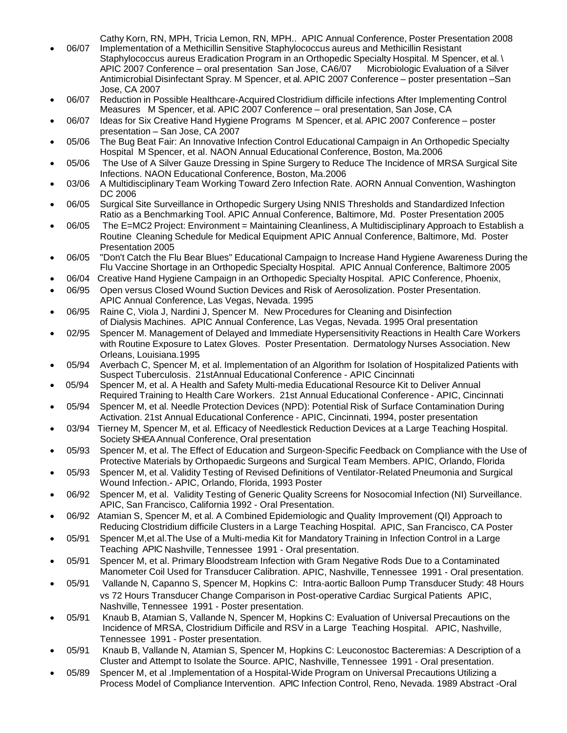Cathy Korn, RN, MPH, Tricia Lemon, RN, MPH.. APIC Annual Conference, Poster Presentation 2008

- 06/07 Implementation of a Methicillin Sensitive Staphylococcus aureus and Methicillin Resistant Staphylococcus aureus Eradication Program in an Orthopedic Specialty Hospital. M Spencer, et al. \ APIC 2007 Conference – oral presentation San Jose, CA6/07 Microbiologic Evaluation of a Silver Antimicrobial Disinfectant Spray. M Spencer, et al. APIC 2007 Conference – poster presentation –San Jose, CA 2007
- 06/07 Reduction in Possible Healthcare-Acquired Clostridium difficile infections After Implementing Control Measures M Spencer, et al. APIC 2007 Conference – oral presentation, San Jose, CA
- 06/07 Ideas for Six Creative Hand Hygiene Programs M Spencer, et al. APIC 2007 Conference poster presentation – San Jose, CA 2007
- 05/06 The Bug Beat Fair: An Innovative Infection Control Educational Campaign in An Orthopedic Specialty Hospital M Spencer, et al. NAON Annual Educational Conference, Boston, Ma.2006
- 05/06 The Use of A Silver Gauze Dressing in Spine Surgery to Reduce The Incidence of MRSA Surgical Site Infections. NAON Educational Conference, Boston, Ma.2006
- 03/06 A Multidisciplinary Team Working Toward Zero Infection Rate. AORN Annual Convention, Washington DC 2006
- 06/05 Surgical Site Surveillance in Orthopedic Surgery Using NNIS Thresholds and Standardized Infection Ratio as a Benchmarking Tool. APIC Annual Conference, Baltimore, Md. Poster Presentation 2005
- 06/05 The E=MC2 Project: Environment = Maintaining Cleanliness, A Multidisciplinary Approach to Establish a Routine Cleaning Schedule for Medical Equipment APIC Annual Conference, Baltimore, Md. Poster Presentation 2005
- 06/05 "Don't Catch the Flu Bear Blues" Educational Campaign to Increase Hand Hygiene Awareness During the Flu Vaccine Shortage in an Orthopedic Specialty Hospital. APIC Annual Conference, Baltimore 2005
- 06/04 Creative Hand Hygiene Campaign in an Orthopedic Specialty Hospital. APIC Conference, Phoenix,
- 06/95 Open versus Closed Wound Suction Devices and Risk of Aerosolization. Poster Presentation. APIC Annual Conference, Las Vegas, Nevada. 1995
- 06/95 Raine C, Viola J, Nardini J, Spencer M. New Procedures for Cleaning and Disinfection of Dialysis Machines. APIC Annual Conference, Las Vegas, Nevada. 1995 Oral presentation
- 02/95 Spencer M. Management of Delayed and Immediate Hypersensitivity Reactions in Health Care Workers with Routine Exposure to Latex Gloves. Poster Presentation. Dermatology Nurses Association. New Orleans, Louisiana.1995
- 05/94 Averbach C, Spencer M, et al. Implementation of an Algorithm for Isolation of Hospitalized Patients with Suspect Tuberculosis. 21stAnnual Educational Conference - APIC Cincinnati
- 05/94 Spencer M, et al. A Health and Safety Multi-media Educational Resource Kit to Deliver Annual Required Training to Health Care Workers. 21st Annual Educational Conference - APIC, Cincinnati
- 05/94 Spencer M, et al. Needle Protection Devices (NPD): Potential Risk of Surface Contamination During Activation. 21st Annual Educational Conference - APIC, Cincinnati, 1994, poster presentation
- 03/94 Tierney M, Spencer M, et al. Efficacy of Needlestick Reduction Devices at a Large Teaching Hospital. Society SHEA Annual Conference, Oral presentation
- 05/93 Spencer M, et al. The Effect of Education and Surgeon-Specific Feedback on Compliance with the Use of Protective Materials by Orthopaedic Surgeons and Surgical Team Members. APIC, Orlando, Florida
- 05/93 Spencer M, et al. Validity Testing of Revised Definitions of Ventilator-Related Pneumonia and Surgical Wound Infection.- APIC, Orlando, Florida, 1993 Poster
- 06/92 Spencer M, et al. Validity Testing of Generic Quality Screens for Nosocomial Infection (NI) Surveillance. APIC, San Francisco, California 1992 - Oral Presentation.
- 06/92 Atamian S, Spencer M, et al. A Combined Epidemiologic and Quality Improvement (QI) Approach to Reducing Clostridium difficile Clusters in a Large Teaching Hospital. APIC, San Francisco, CA Poster
- 05/91 Spencer M,et al.The Use of a Multi-media Kit for Mandatory Training in Infection Control in a Large Teaching APIC Nashville, Tennessee 1991 - Oral presentation.
- 05/91 Spencer M, et al. Primary Bloodstream Infection with Gram Negative Rods Due to a Contaminated Manometer Coil Used for Transducer Calibration. APIC, Nashville, Tennessee 1991 - Oral presentation.
- 05/91 Vallande N, Capanno S, Spencer M, Hopkins C: Intra-aortic Balloon Pump Transducer Study: 48 Hours vs 72 Hours Transducer Change Comparison in Post-operative Cardiac Surgical Patients APIC, Nashville, Tennessee 1991 - Poster presentation.
- 05/91 Knaub B, Atamian S, Vallande N, Spencer M, Hopkins C: Evaluation of Universal Precautions on the Incidence of MRSA, Clostridium Difficile and RSV in a Large Teaching Hospital. APIC, Nashville, Tennessee 1991 - Poster presentation.
- 05/91 Knaub B, Vallande N, Atamian S, Spencer M, Hopkins C: Leuconostoc Bacteremias: A Description of a Cluster and Attempt to Isolate the Source. APIC, Nashville, Tennessee 1991 - Oral presentation.
- 05/89 Spencer M, et al .Implementation of a Hospital-Wide Program on Universal Precautions Utilizing a Process Model of Compliance Intervention. APIC Infection Control, Reno, Nevada. 1989 Abstract -Oral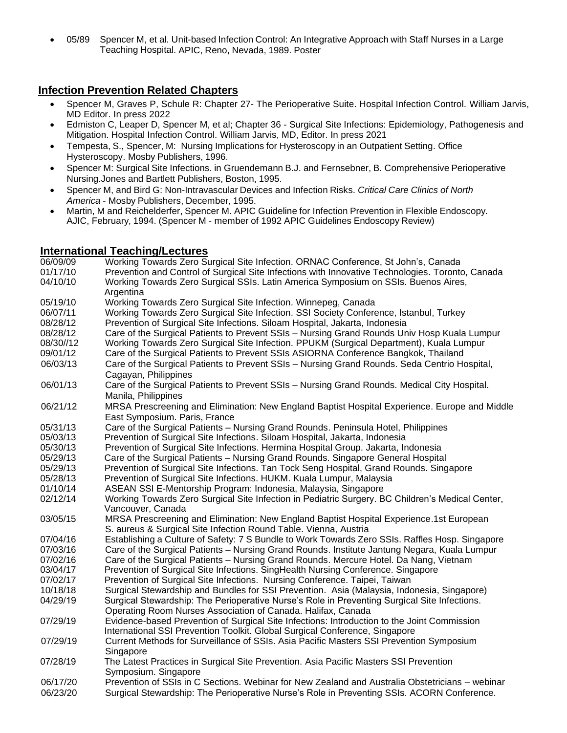• 05/89 Spencer M, et al. Unit-based Infection Control: An Integrative Approach with Staff Nurses in a Large Teaching Hospital. APIC, Reno, Nevada, 1989. Poster

### **Infection Prevention Related Chapters**

- Spencer M, Graves P, Schule R: Chapter 27- The Perioperative Suite. Hospital Infection Control. William Jarvis, MD Editor. In press 2022
- Edmiston C, Leaper D, Spencer M, et al; Chapter 36 Surgical Site Infections: Epidemiology, Pathogenesis and Mitigation. Hospital Infection Control. William Jarvis, MD, Editor. In press 2021
- Tempesta, S., Spencer, M: Nursing Implications for Hysteroscopy in an Outpatient Setting. Office Hysteroscopy. Mosby Publishers, 1996.
- Spencer M: Surgical Site Infections. in Gruendemann B.J. and Fernsebner, B. Comprehensive Perioperative Nursing.Jones and Bartlett Publishers, Boston, 1995.
- Spencer M, and Bird G: Non-Intravascular Devices and Infection Risks. *Critical Care Clinics of North America* - Mosby Publishers, December, 1995.
- Martin, M and Reichelderfer, Spencer M. APIC Guideline for Infection Prevention in Flexible Endoscopy. AJIC, February, 1994. (Spencer M - member of 1992 APIC Guidelines Endoscopy Review)

### **International Teaching/Lectures**

| 06/09/09  | Working Towards Zero Surgical Site Infection. ORNAC Conference, St John's, Canada                |
|-----------|--------------------------------------------------------------------------------------------------|
| 01/17/10  | Prevention and Control of Surgical Site Infections with Innovative Technologies. Toronto, Canada |
| 04/10/10  | Working Towards Zero Surgical SSIs. Latin America Symposium on SSIs. Buenos Aires,<br>Argentina  |
| 05/19/10  | Working Towards Zero Surgical Site Infection. Winnepeg, Canada                                   |
| 06/07/11  | Working Towards Zero Surgical Site Infection. SSI Society Conference, Istanbul, Turkey           |
| 08/28/12  | Prevention of Surgical Site Infections. Siloam Hospital, Jakarta, Indonesia                      |
| 08/28/12  | Care of the Surgical Patients to Prevent SSIs - Nursing Grand Rounds Univ Hosp Kuala Lumpur      |
| 08/30//12 | Working Towards Zero Surgical Site Infection. PPUKM (Surgical Department), Kuala Lumpur          |
| 09/01/12  | Care of the Surgical Patients to Prevent SSIs ASIORNA Conference Bangkok, Thailand               |
| 06/03/13  | Care of the Surgical Patients to Prevent SSIs - Nursing Grand Rounds. Seda Centrio Hospital,     |
|           | Cagayan, Philippines                                                                             |
| 06/01/13  | Care of the Surgical Patients to Prevent SSIs - Nursing Grand Rounds. Medical City Hospital.     |
|           | Manila, Philippines                                                                              |
| 06/21/12  | MRSA Prescreening and Elimination: New England Baptist Hospital Experience. Europe and Middle    |
|           | East Symposium. Paris, France                                                                    |
| 05/31/13  | Care of the Surgical Patients - Nursing Grand Rounds. Peninsula Hotel, Philippines               |
| 05/03/13  | Prevention of Surgical Site Infections. Siloam Hospital, Jakarta, Indonesia                      |
| 05/30/13  | Prevention of Surgical Site Infections. Hermina Hospital Group. Jakarta, Indonesia               |
| 05/29/13  | Care of the Surgical Patients - Nursing Grand Rounds. Singapore General Hospital                 |
| 05/29/13  | Prevention of Surgical Site Infections. Tan Tock Seng Hospital, Grand Rounds. Singapore          |
| 05/28/13  | Prevention of Surgical Site Infections. HUKM. Kuala Lumpur, Malaysia                             |
| 01/10/14  | ASEAN SSI E-Mentorship Program: Indonesia, Malaysia, Singapore                                   |
| 02/12/14  | Working Towards Zero Surgical Site Infection in Pediatric Surgery. BC Children's Medical Center, |
|           | Vancouver, Canada                                                                                |
| 03/05/15  | MRSA Prescreening and Elimination: New England Baptist Hospital Experience.1st European          |
|           | S. aureus & Surgical Site Infection Round Table. Vienna, Austria                                 |
| 07/04/16  | Establishing a Culture of Safety: 7 S Bundle to Work Towards Zero SSIs. Raffles Hosp. Singapore  |
| 07/03/16  | Care of the Surgical Patients – Nursing Grand Rounds. Institute Jantung Negara, Kuala Lumpur     |
| 07/02/16  | Care of the Surgical Patients - Nursing Grand Rounds. Mercure Hotel. Da Nang, Vietnam            |
| 03/04/17  | Prevention of Surgical Site Infections. SingHealth Nursing Conference. Singapore                 |
| 07/02/17  | Prevention of Surgical Site Infections. Nursing Conference. Taipei, Taiwan                       |
| 10/18/18  | Surgical Stewardship and Bundles for SSI Prevention. Asia (Malaysia, Indonesia, Singapore)       |
| 04/29/19  | Surgical Stewardship: The Perioperative Nurse's Role in Preventing Surgical Site Infections.     |
|           | Operating Room Nurses Association of Canada. Halifax, Canada                                     |
| 07/29/19  | Evidence-based Prevention of Surgical Site Infections: Introduction to the Joint Commission      |
|           | International SSI Prevention Toolkit. Global Surgical Conference, Singapore                      |
| 07/29/19  | Current Methods for Surveillance of SSIs. Asia Pacific Masters SSI Prevention Symposium          |
|           | Singapore                                                                                        |
| 07/28/19  | The Latest Practices in Surgical Site Prevention. Asia Pacific Masters SSI Prevention            |
|           | Symposium. Singapore                                                                             |
| 06/17/20  | Prevention of SSIs in C Sections. Webinar for New Zealand and Australia Obstetricians - webinar  |
| 06/23/20  | Surgical Stewardship: The Perioperative Nurse's Role in Preventing SSIs. ACORN Conference.       |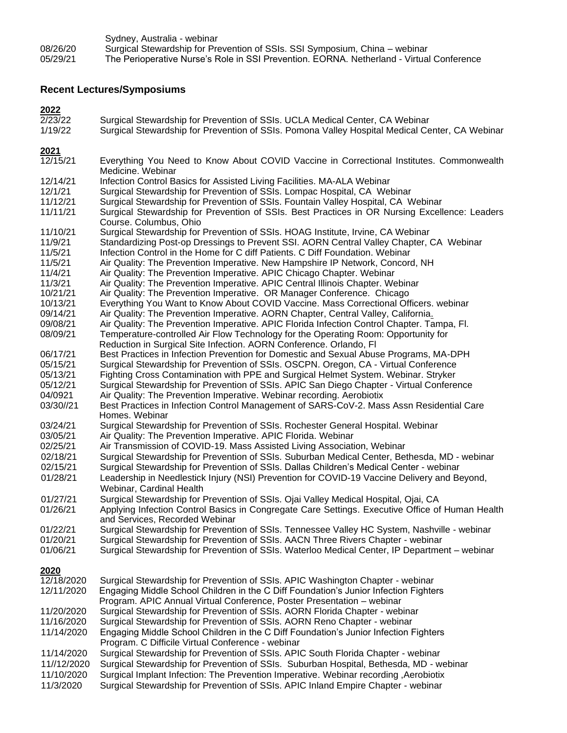Sydney, Australia - webinar 08/26/20 Surgical Stewardship for Prevention of SSIs. SSI Symposium, China – webinar 05/29/21 The Perioperative Nurse's Role in SSI Prevention. EORNA. Netherland - Virtual Conference

#### **Recent Lectures/Symposiums**

#### **2022**

- 2/23/22 Surgical Stewardship for Prevention of SSIs. UCLA Medical Center, CA Webinar
- 1/19/22 Surgical Stewardship for Prevention of SSIs. Pomona Valley Hospital Medical Center, CA Webinar

#### **2021**

- 12/15/21 Everything You Need to Know About COVID Vaccine in Correctional Institutes. Commonwealth Medicine. Webinar 12/14/21 Infection Control Basics for Assisted Living Facilities. MA-ALA Webinar 12/1/21 Surgical Stewardship for Prevention of SSIs. Lompac Hospital, CA Webinar Surgical Stewardship for Prevention of SSIs. Fountain Valley Hospital, CA Webinar 11/11/21 Surgical Stewardship for Prevention of SSIs. Best Practices in OR Nursing Excellence: Leaders Course. Columbus, Ohio 11/10/21 Surgical Stewardship for Prevention of SSIs. HOAG Institute, Irvine, CA Webinar 11/9/21 Standardizing Post-op Dressings to Prevent SSI. AORN Central Valley Chapter, CA Webinar 11/5/21 Infection Control in the Home for C diff Patients. C Diff Foundation. Webinar 11/5/21 Air Quality: The Prevention Imperative. New Hampshire IP Network, Concord, NH<br>11/4/21 Air Quality: The Prevention Imperative. APIC Chicago Chapter. Webinar Air Quality: The Prevention Imperative. APIC Chicago Chapter. Webinar 11/3/21 Air Quality: The Prevention Imperative. APIC Central Illinois Chapter. Webinar 10/21/21 Air Quality: The Prevention Imperative. OR Manager Conference. Chicago 10/13/21 Everything You Want to Know About COVID Vaccine. Mass Correctional Officers. webinar 09/14/21 Air Quality: The Prevention Imperative. AORN Chapter, Central Valley, California.<br>09/08/21 Air Quality: The Prevention Imperative. APIC Florida Infection Control Chapter. Ta Air Quality: The Prevention Imperative. APIC Florida Infection Control Chapter. Tampa, Fl. 08/09/21 Temperature-controlled Air Flow Technology for the Operating Room: Opportunity for Reduction in Surgical Site Infection. AORN Conference. Orlando, Fl 06/17/21 Best Practices in Infection Prevention for Domestic and Sexual Abuse Programs, MA-DPH 05/15/21 Surgical Stewardship for Prevention of SSIs. OSCPN. Oregon, CA - Virtual Conference 05/13/21 Fighting Cross Contamination with PPE and Surgical Helmet System. Webinar. Stryker<br>05/12/21 Surgical Stewardship for Prevention of SSIs. APIC San Diego Chapter - Virtual Confere Surgical Stewardship for Prevention of SSIs. APIC San Diego Chapter - Virtual Conference 04/0921 Air Quality: The Prevention Imperative. Webinar recording. Aerobiotix 03/30//21 Best Practices in Infection Control Management of SARS-CoV-2. Mass Assn Residential Care Homes. Webinar 03/24/21 Surgical Stewardship for Prevention of SSIs. Rochester General Hospital. Webinar 03/05/21 Air Quality: The Prevention Imperative. APIC Florida. Webinar 02/25/21 Air Transmission of COVID-19. Mass Assisted Living Association, Webinar 02/18/21 Surgical Stewardship for Prevention of SSIs. Suburban Medical Center, Bethesda, MD - webinar 02/15/21 Surgical Stewardship for Prevention of SSIs. Dallas Children's Medical Center - webinar 01/28/21 Leadership in Needlestick Injury (NSI) Prevention for COVID-19 Vaccine Delivery and Beyond, Webinar, Cardinal Health 01/27/21 Surgical Stewardship for Prevention of SSIs. Ojai Valley Medical Hospital, Ojai, CA<br>01/26/21 Applying Infection Control Basics in Congregate Care Settings. Executive Office of Applying Infection Control Basics in Congregate Care Settings. Executive Office of Human Health and Services, Recorded Webinar 01/22/21 Surgical Stewardship for Prevention of SSIs. Tennessee Valley HC System, Nashville - webinar 01/20/21 Surgical Stewardship for Prevention of SSIs. AACN Three Rivers Chapter - webinar<br>01/06/21 Surgical Stewardship for Prevention of SSIs. Waterloo Medical Center. IP Departme Surgical Stewardship for Prevention of SSIs. Waterloo Medical Center, IP Department – webinar **2020** Surgical Stewardship for Prevention of SSIs. APIC Washington Chapter - webinar 12/11/2020 Engaging Middle School Children in the C Diff Foundation's Junior Infection Fighters Program. APIC Annual Virtual Conference, Poster Presentation – webinar Surgical Stewardship for Prevention of SSIs. AORN Florida Chapter - webinar 11/16/2020 Surgical Stewardship for Prevention of SSIs. AORN Reno Chapter - webinar Engaging Middle School Children in the C Diff Foundation's Junior Infection Fighters Program. C Difficile Virtual Conference - webinar 11/14/2020 Surgical Stewardship for Prevention of SSIs. APIC South Florida Chapter - webinar
- 11//12/2020 Surgical Stewardship for Prevention of SSIs. Suburban Hospital, Bethesda, MD webinar
- 11/10/2020 Surgical Implant Infection: The Prevention Imperative. Webinar recording ,Aerobiotix
- 11/3/2020 Surgical Stewardship for Prevention of SSIs. APIC Inland Empire Chapter webinar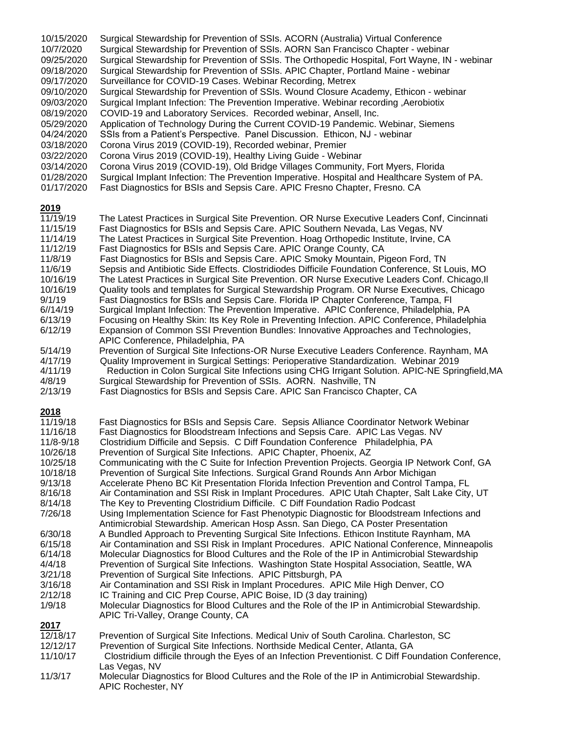| 10/15/2020                                  | Surgical Stewardship for Prevention of SSIs. ACORN (Australia) Virtual Conference                                                                                                                                                                                                                                                                                                                                      |
|---------------------------------------------|------------------------------------------------------------------------------------------------------------------------------------------------------------------------------------------------------------------------------------------------------------------------------------------------------------------------------------------------------------------------------------------------------------------------|
| 10/7/2020                                   | Surgical Stewardship for Prevention of SSIs. AORN San Francisco Chapter - webinar                                                                                                                                                                                                                                                                                                                                      |
| 09/25/2020                                  | Surgical Stewardship for Prevention of SSIs. The Orthopedic Hospital, Fort Wayne, IN - webinar                                                                                                                                                                                                                                                                                                                         |
| 09/18/2020                                  | Surgical Stewardship for Prevention of SSIs. APIC Chapter, Portland Maine - webinar                                                                                                                                                                                                                                                                                                                                    |
| 09/17/2020                                  | Surveillance for COVID-19 Cases. Webinar Recording, Metrex                                                                                                                                                                                                                                                                                                                                                             |
| 09/10/2020                                  | Surgical Stewardship for Prevention of SSIs. Wound Closure Academy, Ethicon - webinar                                                                                                                                                                                                                                                                                                                                  |
| 09/03/2020                                  | Surgical Implant Infection: The Prevention Imperative. Webinar recording , Aerobiotix                                                                                                                                                                                                                                                                                                                                  |
| 08/19/2020                                  | COVID-19 and Laboratory Services. Recorded webinar, Ansell, Inc.                                                                                                                                                                                                                                                                                                                                                       |
| 05/29/2020                                  | Application of Technology During the Current COVID-19 Pandemic. Webinar, Siemens                                                                                                                                                                                                                                                                                                                                       |
| 04/24/2020                                  | SSIs from a Patient's Perspective. Panel Discussion. Ethicon, NJ - webinar                                                                                                                                                                                                                                                                                                                                             |
| 03/18/2020                                  | Corona Virus 2019 (COVID-19), Recorded webinar, Premier                                                                                                                                                                                                                                                                                                                                                                |
| 03/22/2020                                  | Corona Virus 2019 (COVID-19), Healthy Living Guide - Webinar                                                                                                                                                                                                                                                                                                                                                           |
| 03/14/2020                                  | Corona Virus 2019 (COVID-19), Old Bridge Villages Community, Fort Myers, Florida                                                                                                                                                                                                                                                                                                                                       |
| 01/28/2020                                  | Surgical Implant Infection: The Prevention Imperative. Hospital and Healthcare System of PA.                                                                                                                                                                                                                                                                                                                           |
| 01/17/2020                                  | Fast Diagnostics for BSIs and Sepsis Care. APIC Fresno Chapter, Fresno. CA                                                                                                                                                                                                                                                                                                                                             |
| 2019                                        | The Latest Practices in Surgical Site Prevention. OR Nurse Executive Leaders Conf, Cincinnati                                                                                                                                                                                                                                                                                                                          |
| 11/19/19                                    | Fast Diagnostics for BSIs and Sepsis Care. APIC Southern Nevada, Las Vegas, NV                                                                                                                                                                                                                                                                                                                                         |
| 11/15/19                                    | The Latest Practices in Surgical Site Prevention. Hoag Orthopedic Institute, Irvine, CA                                                                                                                                                                                                                                                                                                                                |
| 11/14/19                                    | Fast Diagnostics for BSIs and Sepsis Care. APIC Orange County, CA                                                                                                                                                                                                                                                                                                                                                      |
| 11/12/19                                    | Fast Diagnostics for BSIs and Sepsis Care. APIC Smoky Mountain, Pigeon Ford, TN                                                                                                                                                                                                                                                                                                                                        |
| 11/8/19                                     | Sepsis and Antibiotic Side Effects. Clostridiodes Difficile Foundation Conference, St Louis, MO                                                                                                                                                                                                                                                                                                                        |
| 11/6/19                                     | The Latest Practices in Surgical Site Prevention. OR Nurse Executive Leaders Conf. Chicago, Il                                                                                                                                                                                                                                                                                                                         |
| 10/16/19                                    | Quality tools and templates for Surgical Stewardship Program. OR Nurse Executives, Chicago                                                                                                                                                                                                                                                                                                                             |
| 10/16/19                                    | Fast Diagnostics for BSIs and Sepsis Care. Florida IP Chapter Conference, Tampa, FI                                                                                                                                                                                                                                                                                                                                    |
| 9/1/19                                      | Surgical Implant Infection: The Prevention Imperative. APIC Conference, Philadelphia, PA                                                                                                                                                                                                                                                                                                                               |
| 6/14/19                                     | Focusing on Healthy Skin: Its Key Role in Preventing Infection. APIC Conference, Philadelphia                                                                                                                                                                                                                                                                                                                          |
| 6/13/19                                     | Expansion of Common SSI Prevention Bundles: Innovative Approaches and Technologies,                                                                                                                                                                                                                                                                                                                                    |
| 6/12/19                                     | APIC Conference, Philadelphia, PA                                                                                                                                                                                                                                                                                                                                                                                      |
| 5/14/19                                     | Prevention of Surgical Site Infections-OR Nurse Executive Leaders Conference. Raynham, MA                                                                                                                                                                                                                                                                                                                              |
| 4/17/19                                     | Quality Improvement in Surgical Settings: Perioperative Standardization. Webinar 2019                                                                                                                                                                                                                                                                                                                                  |
| 4/11/19                                     | Reduction in Colon Surgical Site Infections using CHG Irrigant Solution. APIC-NE Springfield, MA                                                                                                                                                                                                                                                                                                                       |
| 4/8/19                                      | Surgical Stewardship for Prevention of SSIs. AORN. Nashville, TN                                                                                                                                                                                                                                                                                                                                                       |
| 2/13/19                                     | Fast Diagnostics for BSIs and Sepsis Care. APIC San Francisco Chapter, CA                                                                                                                                                                                                                                                                                                                                              |
| 2018                                        | Fast Diagnostics for BSIs and Sepsis Care. Sepsis Alliance Coordinator Network Webinar                                                                                                                                                                                                                                                                                                                                 |
| 11/19/18                                    | Fast Diagnostics for Bloodstream Infections and Sepsis Care. APIC Las Vegas. NV                                                                                                                                                                                                                                                                                                                                        |
| 11/16/18                                    | Clostridium Difficile and Sepsis. C Diff Foundation Conference Philadelphia, PA                                                                                                                                                                                                                                                                                                                                        |
| 11/8-9/18                                   | Prevention of Surgical Site Infections. APIC Chapter, Phoenix, AZ                                                                                                                                                                                                                                                                                                                                                      |
| 10/26/18                                    | Communicating with the C Suite for Infection Prevention Projects. Georgia IP Network Conf, GA                                                                                                                                                                                                                                                                                                                          |
| 10/25/18                                    | Prevention of Surgical Site Infections. Surgical Grand Rounds Ann Arbor Michigan                                                                                                                                                                                                                                                                                                                                       |
| 10/18/18                                    | Accelerate Pheno BC Kit Presentation Florida Infection Prevention and Control Tampa, FL                                                                                                                                                                                                                                                                                                                                |
| 9/13/18                                     | Air Contamination and SSI Risk in Implant Procedures. APIC Utah Chapter, Salt Lake City, UT                                                                                                                                                                                                                                                                                                                            |
| 8/16/18                                     | The Key to Preventing Clostridium Difficile. C Diff Foundation Radio Podcast                                                                                                                                                                                                                                                                                                                                           |
| 8/14/18                                     | Using Implementation Science for Fast Phenotypic Diagnostic for Bloodstream Infections and                                                                                                                                                                                                                                                                                                                             |
| 7/26/18                                     | Antimicrobial Stewardship. American Hosp Assn. San Diego, CA Poster Presentation                                                                                                                                                                                                                                                                                                                                       |
| 6/30/18                                     | A Bundled Approach to Preventing Surgical Site Infections. Ethicon Institute Raynham, MA                                                                                                                                                                                                                                                                                                                               |
| 6/15/18                                     | Air Contamination and SSI Risk in Implant Procedures. APIC National Conference, Minneapolis                                                                                                                                                                                                                                                                                                                            |
| 6/14/18                                     | Molecular Diagnostics for Blood Cultures and the Role of the IP in Antimicrobial Stewardship                                                                                                                                                                                                                                                                                                                           |
| 4/4/18                                      | Prevention of Surgical Site Infections. Washington State Hospital Association, Seattle, WA                                                                                                                                                                                                                                                                                                                             |
| 3/21/18                                     | Prevention of Surgical Site Infections. APIC Pittsburgh, PA                                                                                                                                                                                                                                                                                                                                                            |
| 3/16/18                                     | Air Contamination and SSI Risk in Implant Procedures. APIC Mile High Denver, CO                                                                                                                                                                                                                                                                                                                                        |
| 2/12/18                                     | IC Training and CIC Prep Course, APIC Boise, ID (3 day training)                                                                                                                                                                                                                                                                                                                                                       |
| 1/9/18                                      | Molecular Diagnostics for Blood Cultures and the Role of the IP in Antimicrobial Stewardship.                                                                                                                                                                                                                                                                                                                          |
| 2017                                        | APIC Tri-Valley, Orange County, CA                                                                                                                                                                                                                                                                                                                                                                                     |
| 12/18/17<br>12/12/17<br>11/10/17<br>11/3/17 | Prevention of Surgical Site Infections. Medical Univ of South Carolina. Charleston, SC<br>Prevention of Surgical Site Infections. Northside Medical Center, Atlanta, GA<br>Clostridium difficile through the Eyes of an Infection Preventionist. C Diff Foundation Conference,<br>Las Vegas, NV<br>Molecular Diagnostics for Blood Cultures and the Role of the IP in Antimicrobial Stewardship.<br>APIC Rochester, NY |